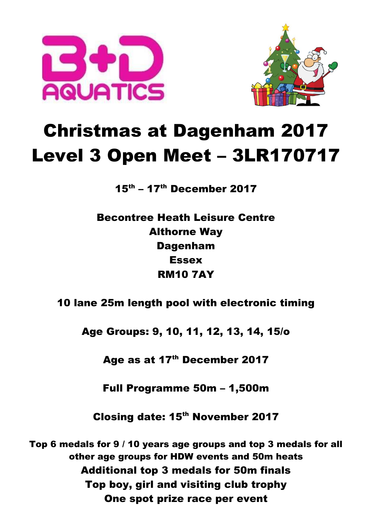



# Christmas at Dagenham 2017 Level 3 Open Meet – 3LR170717

15<sup>th</sup> – 17<sup>th</sup> December 2017

# Becontree Heath Leisure Centre Althorne Way Dagenham Essex RM10 7AY

#### 10 lane 25m length pool with electronic timing

Age Groups: 9, 10, 11, 12, 13, 14, 15/o

Age as at 17<sup>th</sup> December 2017

Full Programme 50m – 1,500m

Closing date: 15<sup>th</sup> November 2017

Top 6 medals for 9 / 10 years age groups and top 3 medals for all other age groups for HDW events and 50m heats Additional top 3 medals for 50m finals Top boy, girl and visiting club trophy One spot prize race per event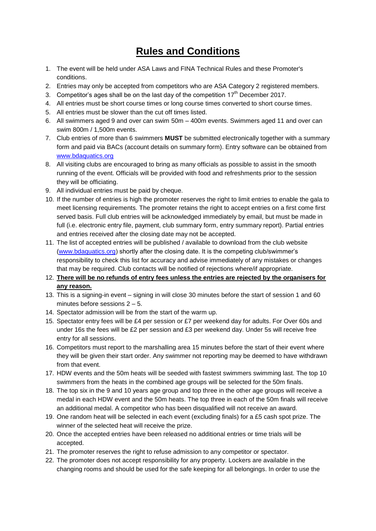#### **Rules and Conditions**

- 1. The event will be held under ASA Laws and FINA Technical Rules and these Promoter's conditions.
- 2. Entries may only be accepted from competitors who are ASA Category 2 registered members.
- 3. Competitor's ages shall be on the last day of the competition  $17<sup>th</sup>$  December 2017.
- 4. All entries must be short course times or long course times converted to short course times.
- 5. All entries must be slower than the cut off times listed.
- 6. All swimmers aged 9 and over can swim 50m 400m events. Swimmers aged 11 and over can swim 800m / 1,500m events.
- 7. Club entries of more than 6 swimmers **MUST** be submitted electronically together with a summary form and paid via BACs (account details on summary form). Entry software can be obtained from <www.bdaquatics.org>
- 8. All visiting clubs are encouraged to bring as many officials as possible to assist in the smooth running of the event. Officials will be provided with food and refreshments prior to the session they will be officiating.
- 9. All individual entries must be paid by cheque.
- 10. If the number of entries is high the promoter reserves the right to limit entries to enable the gala to meet licensing requirements. The promoter retains the right to accept entries on a first come first served basis. Full club entries will be acknowledged immediately by email, but must be made in full (i.e. electronic entry file, payment, club summary form, entry summary report). Partial entries and entries received after the closing date may not be accepted.
- 11. The list of accepted entries will be published / available to download from the club website [\(www.bdaquatics.org\)](http://www.bdaquatics.org/) shortly after the closing date. It is the competing club/swimmer's responsibility to check this list for accuracy and advise immediately of any mistakes or changes that may be required. Club contacts will be notified of rejections where/if appropriate.
- 12. **There will be no refunds of entry fees unless the entries are rejected by the organisers for any reason.**
- 13. This is a signing-in event signing in will close 30 minutes before the start of session 1 and 60 minutes before sessions 2 – 5.
- 14. Spectator admission will be from the start of the warm up.
- 15. Spectator entry fees will be £4 per session or £7 per weekend day for adults. For Over 60s and under 16s the fees will be £2 per session and £3 per weekend day. Under 5s will receive free entry for all sessions.
- 16. Competitors must report to the marshalling area 15 minutes before the start of their event where they will be given their start order. Any swimmer not reporting may be deemed to have withdrawn from that event.
- 17. HDW events and the 50m heats will be seeded with fastest swimmers swimming last. The top 10 swimmers from the heats in the combined age groups will be selected for the 50m finals.
- 18. The top six in the 9 and 10 years age group and top three in the other age groups will receive a medal in each HDW event and the 50m heats. The top three in each of the 50m finals will receive an additional medal. A competitor who has been disqualified will not receive an award.
- 19. One random heat will be selected in each event (excluding finals) for a £5 cash spot prize. The winner of the selected heat will receive the prize.
- 20. Once the accepted entries have been released no additional entries or time trials will be accepted.
- 21. The promoter reserves the right to refuse admission to any competitor or spectator.
- 22. The promoter does not accept responsibility for any property. Lockers are available in the changing rooms and should be used for the safe keeping for all belongings. In order to use the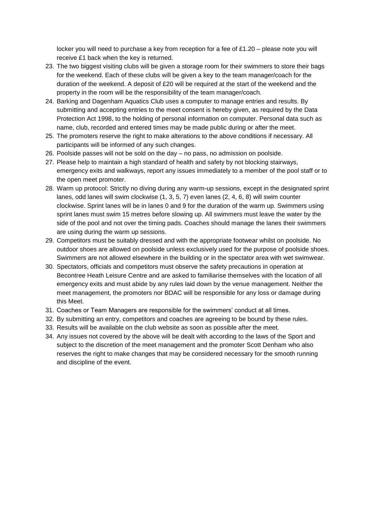locker you will need to purchase a key from reception for a fee of £1.20 – please note you will receive £1 back when the key is returned.

- 23. The two biggest visiting clubs will be given a storage room for their swimmers to store their bags for the weekend. Each of these clubs will be given a key to the team manager/coach for the duration of the weekend. A deposit of £20 will be required at the start of the weekend and the property in the room will be the responsibility of the team manager/coach.
- 24. Barking and Dagenham Aquatics Club uses a computer to manage entries and results. By submitting and accepting entries to the meet consent is hereby given, as required by the Data Protection Act 1998, to the holding of personal information on computer. Personal data such as name, club, recorded and entered times may be made public during or after the meet.
- 25. The promoters reserve the right to make alterations to the above conditions if necessary. All participants will be informed of any such changes.
- 26. Poolside passes will not be sold on the day no pass, no admission on poolside.
- 27. Please help to maintain a high standard of health and safety by not blocking stairways, emergency exits and walkways, report any issues immediately to a member of the pool staff or to the open meet promoter.
- 28. Warm up protocol: Strictly no diving during any warm-up sessions, except in the designated sprint lanes, odd lanes will swim clockwise (1, 3, 5, 7) even lanes (2, 4, 6, 8) will swim counter clockwise. Sprint lanes will be in lanes 0 and 9 for the duration of the warm up. Swimmers using sprint lanes must swim 15 metres before slowing up. All swimmers must leave the water by the side of the pool and not over the timing pads. Coaches should manage the lanes their swimmers are using during the warm up sessions.
- 29. Competitors must be suitably dressed and with the appropriate footwear whilst on poolside. No outdoor shoes are allowed on poolside unless exclusively used for the purpose of poolside shoes. Swimmers are not allowed elsewhere in the building or in the spectator area with wet swimwear.
- 30. Spectators, officials and competitors must observe the safety precautions in operation at Becontree Heath Leisure Centre and are asked to familiarise themselves with the location of all emergency exits and must abide by any rules laid down by the venue management. Neither the meet management, the promoters nor BDAC will be responsible for any loss or damage during this Meet.
- 31. Coaches or Team Managers are responsible for the swimmers' conduct at all times.
- 32. By submitting an entry, competitors and coaches are agreeing to be bound by these rules.
- 33. Results will be available on the club website as soon as possible after the meet.
- 34. Any issues not covered by the above will be dealt with according to the laws of the Sport and subject to the discretion of the meet management and the promoter Scott Denham who also reserves the right to make changes that may be considered necessary for the smooth running and discipline of the event.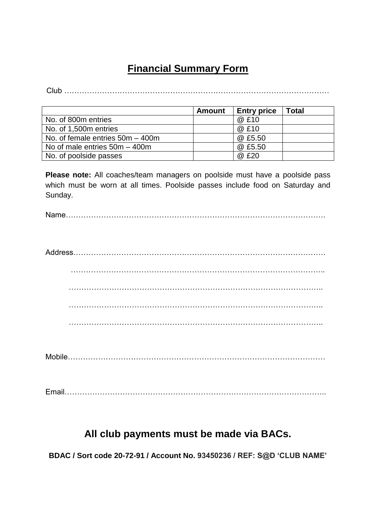#### **Financial Summary Form**

Club ……………………………………………………………………………………………

|                                    | Amount | <b>Entry price</b> | <b>Total</b> |
|------------------------------------|--------|--------------------|--------------|
| No. of 800m entries                |        | @ £10              |              |
| No. of 1,500m entries              |        | @ £10              |              |
| No. of female entries $50m - 400m$ |        | @ £5.50            |              |
| No of male entries $50m - 400m$    |        | @ £5.50            |              |
| No. of poolside passes             |        | @ £20              |              |

**Please note:** All coaches/team managers on poolside must have a poolside pass which must be worn at all times. Poolside passes include food on Saturday and Sunday.

Name………………………………………………………………………………………….

Address………………………………………………………………………………………. ……………………………………………………………………………………….. ……………………………………………………………………………………….. ……………………………………………………………………………………….. ………………………………………………………………………………………..

Mobile…………………………………………………………………………………………

Email…………………………………………………………………………………………..

#### **All club payments must be made via BACs.**

**BDAC / Sort code 20-72-91 / Account No. 93450236 / REF: S@D 'CLUB NAME'**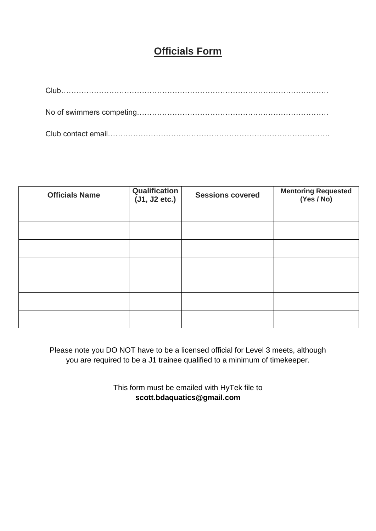#### **Officials Form**

| <b>Officials Name</b> | Qualification<br>(J1, J2 etc.) | <b>Sessions covered</b> | <b>Mentoring Requested</b><br>(Yes / No) |  |  |  |
|-----------------------|--------------------------------|-------------------------|------------------------------------------|--|--|--|
|                       |                                |                         |                                          |  |  |  |
|                       |                                |                         |                                          |  |  |  |
|                       |                                |                         |                                          |  |  |  |
|                       |                                |                         |                                          |  |  |  |
|                       |                                |                         |                                          |  |  |  |
|                       |                                |                         |                                          |  |  |  |
|                       |                                |                         |                                          |  |  |  |

Please note you DO NOT have to be a licensed official for Level 3 meets, although you are required to be a J1 trainee qualified to a minimum of timekeeper.

> This form must be emailed with HyTek file to **scott.bdaquatics@gmail.com**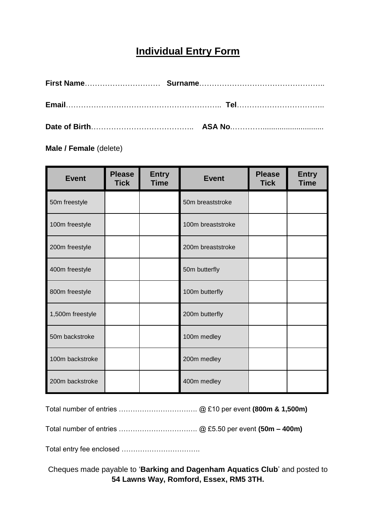#### **Individual Entry Form**

#### **Male / Female** (delete)

| <b>Event</b>     | <b>Please</b><br><b>Tick</b> | <b>Entry</b><br><b>Time</b> | <b>Event</b>      | <b>Please</b><br><b>Tick</b> | <b>Entry</b><br><b>Time</b> |
|------------------|------------------------------|-----------------------------|-------------------|------------------------------|-----------------------------|
| 50m freestyle    |                              |                             | 50m breaststroke  |                              |                             |
| 100m freestyle   |                              |                             | 100m breaststroke |                              |                             |
| 200m freestyle   |                              |                             | 200m breaststroke |                              |                             |
| 400m freestyle   |                              |                             | 50m butterfly     |                              |                             |
| 800m freestyle   |                              |                             | 100m butterfly    |                              |                             |
| 1,500m freestyle |                              |                             | 200m butterfly    |                              |                             |
| 50m backstroke   |                              |                             | 100m medley       |                              |                             |
| 100m backstroke  |                              |                             | 200m medley       |                              |                             |
| 200m backstroke  |                              |                             | 400m medley       |                              |                             |

Total number of entries ……………………………. @ £10 per event **(800m & 1,500m)**

Total number of entries ……………………………. @ £5.50 per event **(50m – 400m)**

Total entry fee enclosed …………………………….

Cheques made payable to '**Barking and Dagenham Aquatics Club**' and posted to **54 Lawns Way, Romford, Essex, RM5 3TH.**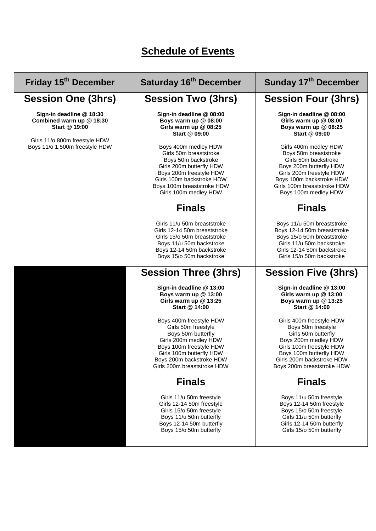### **Schedule of Events**

| Friday 15 <sup>th</sup> December                                                                                                         | Saturday 16 <sup>th</sup> December                                                                                                                                                                                                                                                                                              | Sunday 17th December                                                                                                                                                                                                                                                                                                            |  |  |  |
|------------------------------------------------------------------------------------------------------------------------------------------|---------------------------------------------------------------------------------------------------------------------------------------------------------------------------------------------------------------------------------------------------------------------------------------------------------------------------------|---------------------------------------------------------------------------------------------------------------------------------------------------------------------------------------------------------------------------------------------------------------------------------------------------------------------------------|--|--|--|
| <b>Session One (3hrs)</b>                                                                                                                | <b>Session Two (3hrs)</b>                                                                                                                                                                                                                                                                                                       | <b>Session Four (3hrs)</b>                                                                                                                                                                                                                                                                                                      |  |  |  |
| Sign-in deadline @ 18:30<br>Combined warm up @ 18:30<br>Start @ 19:00<br>Girls 11/o 800m freestyle HDW<br>Boys 11/o 1,500m freestyle HDW | Sign-in deadline @ 08:00<br>Boys warm up @ 08:00<br>Girls warm up @ 08:25<br>Start @ 09:00<br>Boys 400m medley HDW<br>Girls 50m breaststroke<br>Boys 50m backstroke<br>Girls 200m butterfly HDW<br>Boys 200m freestyle HDW<br>Girls 100m backstroke HDW<br>Boys 100m breaststroke HDW<br>Girls 100m medley HDW<br><b>Finals</b> | Sign-in deadline @ 08:00<br>Girls warm up @ 08:00<br>Boys warm up @ 08:25<br>Start @ 09:00<br>Girls 400m medley HDW<br>Boys 50m breaststroke<br>Girls 50m backstroke<br>Boys 200m butterfly HDW<br>Girls 200m freestyle HDW<br>Boys 100m backstroke HDW<br>Girls 100m breaststroke HDW<br>Boys 100m medley HDW<br><b>Finals</b> |  |  |  |
|                                                                                                                                          | Girls 11/u 50m breaststroke<br>Girls 12-14 50m breaststroke<br>Girls 15/o 50m breaststroke<br>Boys 11/u 50m backstroke<br>Boys 12-14 50m backstroke<br>Boys 15/o 50m backstroke                                                                                                                                                 | Boys 11/u 50m breaststroke<br>Boys 12-14 50m breaststroke<br>Boys 15/o 50m breaststroke<br>Girls 11/u 50m backstroke<br>Girls 12-14 50m backstroke<br>Girls 15/o 50m backstroke                                                                                                                                                 |  |  |  |
|                                                                                                                                          | <b>Session Three (3hrs)</b>                                                                                                                                                                                                                                                                                                     | <b>Session Five (3hrs)</b>                                                                                                                                                                                                                                                                                                      |  |  |  |
|                                                                                                                                          | Sign-in deadline @ 13:00<br>Boys warm up @ 13:00<br>Girls warm up $@$ 13:25<br>Start @ 14:00<br>Boys 400m freestyle HDW<br>Girls 50m freestyle<br>Boys 50m butterfly<br>Girls 200m medley HDW<br>Boys 100m freestyle HDW<br>Girls 100m butterfly HDW<br>Boys 200m backstroke HDW<br>Girls 200m breaststroke HDW                 | Sign-in deadline @ 13:00<br>Girls warm up @ 13:00<br>Boys warm up @ 13:25<br>Start @ 14:00<br>Girls 400m freestyle HDW<br>Boys 50m freestyle<br>Girls 50m butterfly<br>Boys 200m medley HDW<br>Girls 100m freestyle HDW<br>Boys 100m butterfly HDW<br>Girls 200m backstroke HDW<br>Boys 200m breaststroke HDW                   |  |  |  |
|                                                                                                                                          | <b>Finals</b>                                                                                                                                                                                                                                                                                                                   | <b>Finals</b>                                                                                                                                                                                                                                                                                                                   |  |  |  |
|                                                                                                                                          | Girls 11/u 50m freestyle<br>Girls 12-14 50m freestyle<br>Girls 15/o 50m freestyle<br>Boys 11/u 50m butterfly<br>Boys 12-14 50m butterfly<br>Boys 15/o 50m butterfly                                                                                                                                                             | Boys 11/u 50m freestyle<br>Boys 12-14 50m freestyle<br>Boys 15/o 50m freestyle<br>Girls 11/u 50m butterfly<br>Girls 12-14 50m butterfly<br>Girls 15/o 50m butterfly                                                                                                                                                             |  |  |  |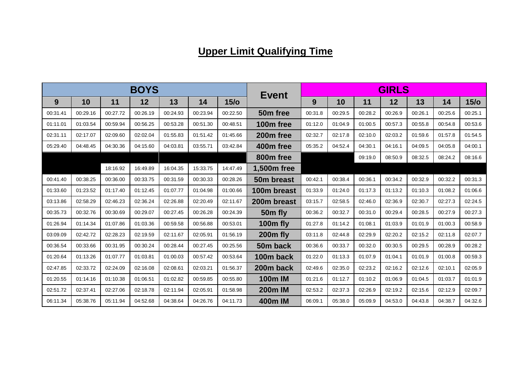## **Upper Limit Qualifying Time**

| <b>BOYS</b> |          |          | <b>Event</b> |          |          |                | <b>GIRLS</b>         |         |         |         |         |         |         |                |
|-------------|----------|----------|--------------|----------|----------|----------------|----------------------|---------|---------|---------|---------|---------|---------|----------------|
| 9           | 10       | 11       | 12           | 13       | 14       | $15$ / $\circ$ |                      | 9       | 10      | 11      | 12      | 13      | 14      | $15$ / $\circ$ |
| 00:31.41    | 00:29.16 | 00:27.72 | 00:26.19     | 00:24.93 | 00:23.94 | 00:22.50       | 50m free             | 00:31.8 | 00:29.5 | 00:28.2 | 00:26.9 | 00:26.1 | 00:25.6 | 00:25.1        |
| 01:11.01    | 01:03.54 | 00:59.94 | 00:56.25     | 00:53.28 | 00:51.30 | 00:48.51       | 100m free            | 01:12.0 | 01:04.9 | 01:00.5 | 00:57.3 | 00:55.8 | 00:54.8 | 00:53.6        |
| 02:31.11    | 02:17.07 | 02:09.60 | 02:02.04     | 01:55.83 | 01:51.42 | 01:45.66       | 200m free            | 02:32.7 | 02:17.8 | 02:10.0 | 02:03.2 | 01:59.6 | 01:57.8 | 01:54.5        |
| 05:29.40    | 04:48.45 | 04:30.36 | 04:15.60     | 04:03.81 | 03:55.71 | 03:42.84       | 400m free            | 05:35.2 | 04:52.4 | 04:30.1 | 04:16.1 | 04:09.5 | 04:05.8 | 04:00.1        |
|             |          |          |              |          |          |                | 800m free            |         |         | 09:19.0 | 08:50.9 | 08:32.5 | 08:24.2 | 08:16.6        |
|             |          | 18:16.92 | 16:49.89     | 16:04.35 | 15:33.75 | 14:47.49       | 1,500m free          |         |         |         |         |         |         |                |
| 00:41.40    | 00:38.25 | 00:36.00 | 00:33.75     | 00:31.59 | 00:30.33 | 00:28.26       | 50m breast           | 00:42.1 | 00:38.4 | 00:36.1 | 00:34.2 | 00:32.9 | 00:32.2 | 00:31.3        |
| 01:33.60    | 01:23.52 | 01:17.40 | 01:12.45     | 01:07.77 | 01:04.98 | 01:00.66       | 100m breast          | 01:33.9 | 01:24.0 | 01:17.3 | 01:13.2 | 01:10.3 | 01:08.2 | 01:06.6        |
| 03:13.86    | 02:58.29 | 02:46.23 | 02:36.24     | 02:26.88 | 02:20.49 | 02:11.67       | 200m breast          | 03:15.7 | 02:58.5 | 02:46.0 | 02:36.9 | 02:30.7 | 02:27.3 | 02:24.5        |
| 00:35.73    | 00:32.76 | 00:30.69 | 00:29.07     | 00:27.45 | 00:26.28 | 00:24.39       | 50 <sub>m</sub> fly  | 00:36.2 | 00:32.7 | 00:31.0 | 00:29.4 | 00:28.5 | 00:27.9 | 00:27.3        |
| 01:26.94    | 01:14.34 | 01:07.86 | 01:03.36     | 00:59.58 | 00:56.88 | 00:53.01       | 100m fly             | 01:27.8 | 01:14.2 | 01:08.1 | 01:03.9 | 01:01.9 | 01:00.3 | 00:58.9        |
| 03:09.09    | 02:42.72 | 02:28.23 | 02:19.59     | 02:11.67 | 02:05.91 | 01:56.19       | 200 <sub>m</sub> fly | 03:11.8 | 02:44.8 | 02:29.9 | 02:20.2 | 02:15.2 | 02:11.8 | 02:07.7        |
| 00:36.54    | 00:33.66 | 00:31.95 | 00:30.24     | 00:28.44 | 00:27.45 | 00:25.56       | 50m back             | 00:36.6 | 00:33.7 | 00:32.0 | 00:30.5 | 00:29.5 | 00:28.9 | 00:28.2        |
| 01:20.64    | 01:13.26 | 01:07.77 | 01:03.81     | 01:00.03 | 00:57.42 | 00:53.64       | 100m back            | 01:22.0 | 01:13.3 | 01:07.9 | 01:04.1 | 01:01.9 | 01:00.8 | 00:59.3        |
| 02:47.85    | 02:33.72 | 02:24.09 | 02:16.08     | 02:08.61 | 02:03.21 | 01:56.37       | 200m back            | 02:49.6 | 02:35.0 | 02:23.2 | 02:16.2 | 02:12.6 | 02:10.1 | 02:05.9        |
| 01:20.55    | 01:14.16 | 01:10.38 | 01:06.51     | 01:02.82 | 00:59.85 | 00:55.80       | <b>100m IM</b>       | 01:21.6 | 01:12.7 | 01:10.2 | 01:06.9 | 01:04.5 | 01:03.7 | 01:01.9        |
| 02:51.72    | 02:37.41 | 02:27.06 | 02:18.78     | 02:11.94 | 02:05.91 | 01:58.98       | <b>200m IM</b>       | 02:53.2 | 02:37.3 | 02:26.9 | 02:19.2 | 02:15.6 | 02:12.9 | 02:09.7        |
| 06:11.34    | 05:38.76 | 05:11.94 | 04:52.68     | 04:38.64 | 04:26.76 | 04:11.73       | <b>400m IM</b>       | 06:09.1 | 05:38.0 | 05:09.9 | 04:53.0 | 04:43.8 | 04:38.7 | 04:32.6        |